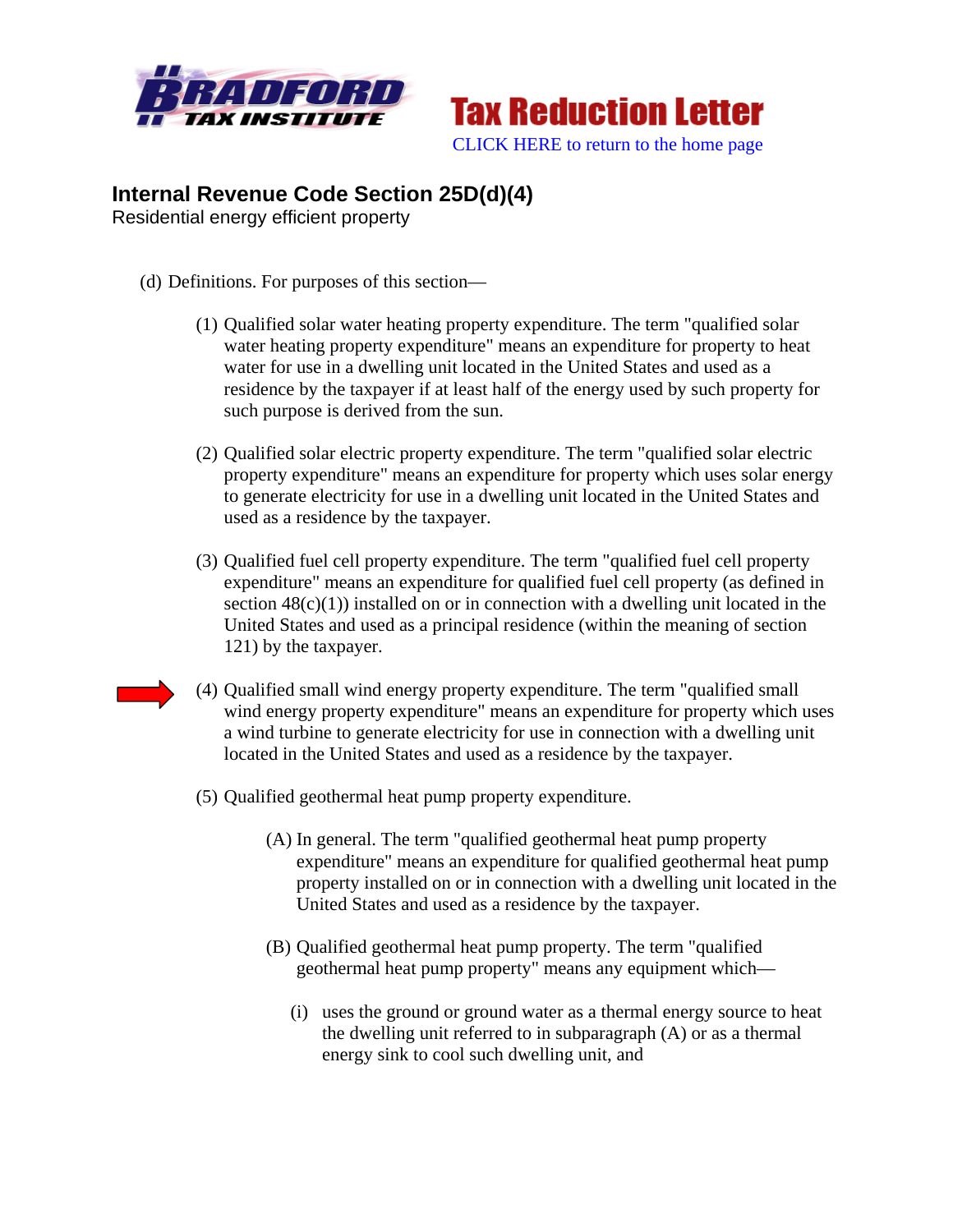



## **Internal Revenue Code Section 25D(d)(4)**

Residential energy efficient property

- (d) Definitions. For purposes of this section—
	- (1) Qualified solar water heating property expenditure. The term "qualified solar water heating property expenditure" means an expenditure for property to heat water for use in a dwelling unit located in the United States and used as a residence by the taxpayer if at least half of the energy used by such property for such purpose is derived from the sun.
	- (2) Qualified solar electric property expenditure. The term "qualified solar electric property expenditure" means an expenditure for property which uses solar energy to generate electricity for use in a dwelling unit located in the United States and used as a residence by the taxpayer.
	- (3) Qualified fuel cell property expenditure. The term "qualified fuel cell property expenditure" means an expenditure for qualified fuel cell property (as defined in section  $48(c)(1)$ ) installed on or in connection with a dwelling unit located in the United States and used as a principal residence (within the meaning of section 121) by the taxpayer.
	- (4) Qualified small wind energy property expenditure. The term "qualified small wind energy property expenditure" means an expenditure for property which uses a wind turbine to generate electricity for use in connection with a dwelling unit located in the United States and used as a residence by the taxpayer.
	- (5) Qualified geothermal heat pump property expenditure.
		- (A) In general. The term "qualified geothermal heat pump property expenditure" means an expenditure for qualified geothermal heat pump property installed on or in connection with a dwelling unit located in the United States and used as a residence by the taxpayer.
		- (B) Qualified geothermal heat pump property. The term "qualified geothermal heat pump property" means any equipment which—
			- (i) uses the ground or ground water as a thermal energy source to heat the dwelling unit referred to in subparagraph (A) or as a thermal energy sink to cool such dwelling unit, and